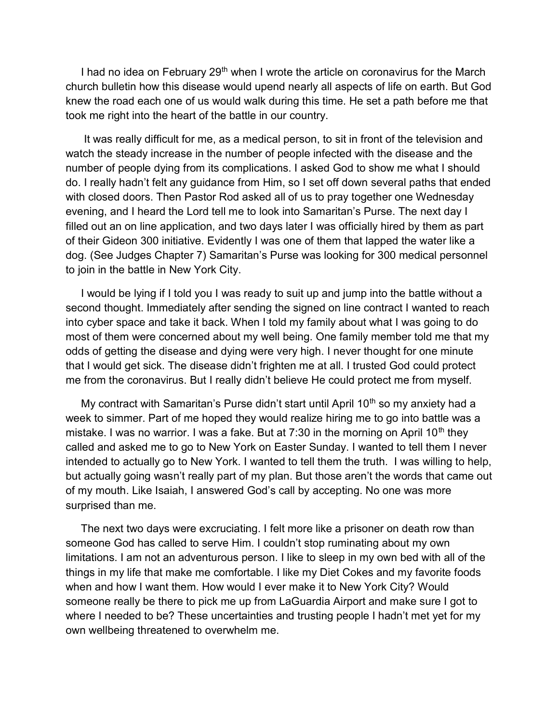I had no idea on February 29<sup>th</sup> when I wrote the article on coronavirus for the March church bulletin how this disease would upend nearly all aspects of life on earth. But God knew the road each one of us would walk during this time. He set a path before me that took me right into the heart of the battle in our country.

 It was really difficult for me, as a medical person, to sit in front of the television and watch the steady increase in the number of people infected with the disease and the number of people dying from its complications. I asked God to show me what I should do. I really hadn't felt any guidance from Him, so I set off down several paths that ended with closed doors. Then Pastor Rod asked all of us to pray together one Wednesday evening, and I heard the Lord tell me to look into Samaritan's Purse. The next day I filled out an on line application, and two days later I was officially hired by them as part of their Gideon 300 initiative. Evidently I was one of them that lapped the water like a dog. (See Judges Chapter 7) Samaritan's Purse was looking for 300 medical personnel to join in the battle in New York City.

 I would be lying if I told you I was ready to suit up and jump into the battle without a second thought. Immediately after sending the signed on line contract I wanted to reach into cyber space and take it back. When I told my family about what I was going to do most of them were concerned about my well being. One family member told me that my odds of getting the disease and dying were very high. I never thought for one minute that I would get sick. The disease didn't frighten me at all. I trusted God could protect me from the coronavirus. But I really didn't believe He could protect me from myself.

My contract with Samaritan's Purse didn't start until April  $10<sup>th</sup>$  so my anxiety had a week to simmer. Part of me hoped they would realize hiring me to go into battle was a mistake. I was no warrior. I was a fake. But at  $7:30$  in the morning on April 10<sup>th</sup> they called and asked me to go to New York on Easter Sunday. I wanted to tell them I never intended to actually go to New York. I wanted to tell them the truth. I was willing to help, but actually going wasn't really part of my plan. But those aren't the words that came out of my mouth. Like Isaiah, I answered God's call by accepting. No one was more surprised than me.

 The next two days were excruciating. I felt more like a prisoner on death row than someone God has called to serve Him. I couldn't stop ruminating about my own limitations. I am not an adventurous person. I like to sleep in my own bed with all of the things in my life that make me comfortable. I like my Diet Cokes and my favorite foods when and how I want them. How would I ever make it to New York City? Would someone really be there to pick me up from LaGuardia Airport and make sure I got to where I needed to be? These uncertainties and trusting people I hadn't met yet for my own wellbeing threatened to overwhelm me.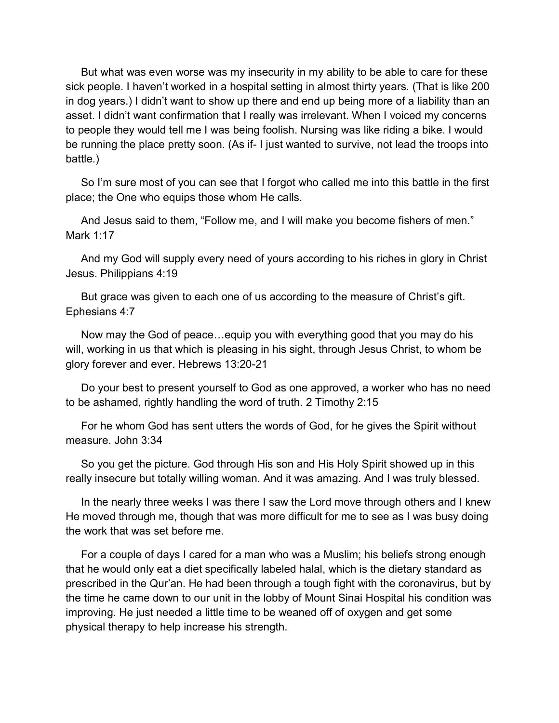But what was even worse was my insecurity in my ability to be able to care for these sick people. I haven't worked in a hospital setting in almost thirty years. (That is like 200 in dog years.) I didn't want to show up there and end up being more of a liability than an asset. I didn't want confirmation that I really was irrelevant. When I voiced my concerns to people they would tell me I was being foolish. Nursing was like riding a bike. I would be running the place pretty soon. (As if- I just wanted to survive, not lead the troops into battle.)

 So I'm sure most of you can see that I forgot who called me into this battle in the first place; the One who equips those whom He calls.

 And Jesus said to them, "Follow me, and I will make you become fishers of men." Mark 1:17

 And my God will supply every need of yours according to his riches in glory in Christ Jesus. Philippians 4:19

 But grace was given to each one of us according to the measure of Christ's gift. Ephesians 4:7

 Now may the God of peace…equip you with everything good that you may do his will, working in us that which is pleasing in his sight, through Jesus Christ, to whom be glory forever and ever. Hebrews 13:20-21

 Do your best to present yourself to God as one approved, a worker who has no need to be ashamed, rightly handling the word of truth. 2 Timothy 2:15

 For he whom God has sent utters the words of God, for he gives the Spirit without measure. John 3:34

 So you get the picture. God through His son and His Holy Spirit showed up in this really insecure but totally willing woman. And it was amazing. And I was truly blessed.

 In the nearly three weeks I was there I saw the Lord move through others and I knew He moved through me, though that was more difficult for me to see as I was busy doing the work that was set before me.

 For a couple of days I cared for a man who was a Muslim; his beliefs strong enough that he would only eat a diet specifically labeled halal, which is the dietary standard as prescribed in the Qur'an. He had been through a tough fight with the coronavirus, but by the time he came down to our unit in the lobby of Mount Sinai Hospital his condition was improving. He just needed a little time to be weaned off of oxygen and get some physical therapy to help increase his strength.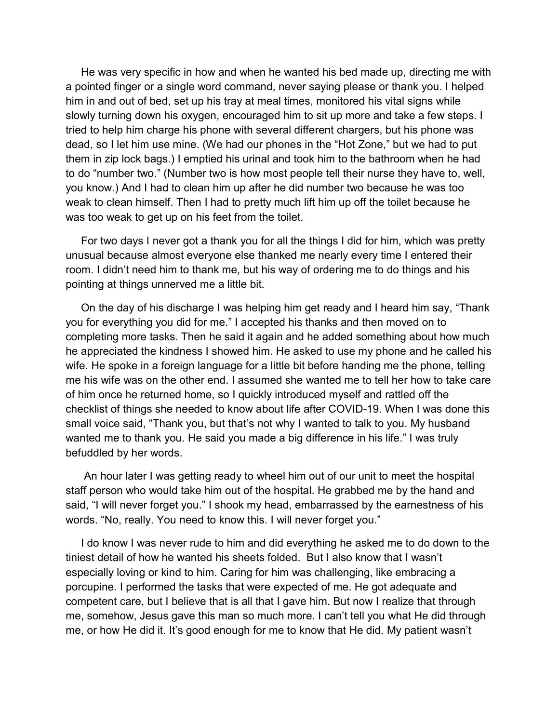He was very specific in how and when he wanted his bed made up, directing me with a pointed finger or a single word command, never saying please or thank you. I helped him in and out of bed, set up his tray at meal times, monitored his vital signs while slowly turning down his oxygen, encouraged him to sit up more and take a few steps. I tried to help him charge his phone with several different chargers, but his phone was dead, so I let him use mine. (We had our phones in the "Hot Zone," but we had to put them in zip lock bags.) I emptied his urinal and took him to the bathroom when he had to do "number two." (Number two is how most people tell their nurse they have to, well, you know.) And I had to clean him up after he did number two because he was too weak to clean himself. Then I had to pretty much lift him up off the toilet because he was too weak to get up on his feet from the toilet.

 For two days I never got a thank you for all the things I did for him, which was pretty unusual because almost everyone else thanked me nearly every time I entered their room. I didn't need him to thank me, but his way of ordering me to do things and his pointing at things unnerved me a little bit.

 On the day of his discharge I was helping him get ready and I heard him say, "Thank you for everything you did for me." I accepted his thanks and then moved on to completing more tasks. Then he said it again and he added something about how much he appreciated the kindness I showed him. He asked to use my phone and he called his wife. He spoke in a foreign language for a little bit before handing me the phone, telling me his wife was on the other end. I assumed she wanted me to tell her how to take care of him once he returned home, so I quickly introduced myself and rattled off the checklist of things she needed to know about life after COVID-19. When I was done this small voice said, "Thank you, but that's not why I wanted to talk to you. My husband wanted me to thank you. He said you made a big difference in his life." I was truly befuddled by her words.

 An hour later I was getting ready to wheel him out of our unit to meet the hospital staff person who would take him out of the hospital. He grabbed me by the hand and said, "I will never forget you." I shook my head, embarrassed by the earnestness of his words. "No, really. You need to know this. I will never forget you."

 I do know I was never rude to him and did everything he asked me to do down to the tiniest detail of how he wanted his sheets folded. But I also know that I wasn't especially loving or kind to him. Caring for him was challenging, like embracing a porcupine. I performed the tasks that were expected of me. He got adequate and competent care, but I believe that is all that I gave him. But now I realize that through me, somehow, Jesus gave this man so much more. I can't tell you what He did through me, or how He did it. It's good enough for me to know that He did. My patient wasn't